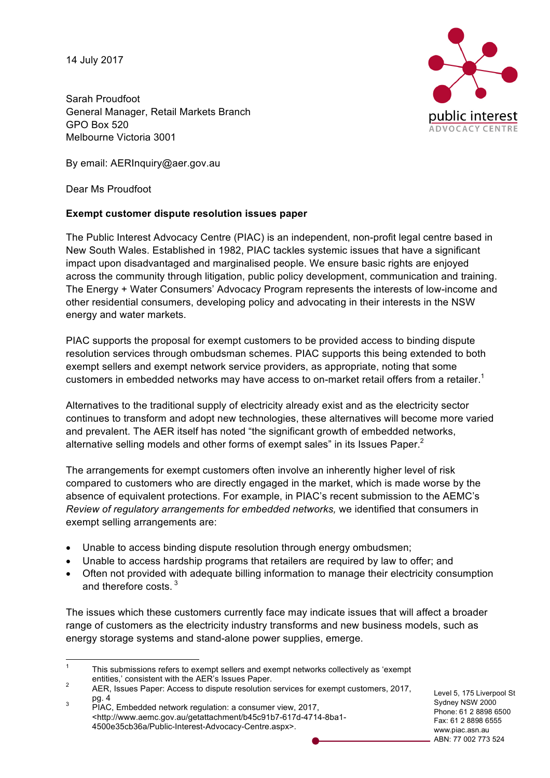14 July 2017

Sarah Proudfoot General Manager, Retail Markets Branch GPO Box 520 Melbourne Victoria 3001

By email: AERInquiry@aer.gov.au

Dear Ms Proudfoot

# **Exempt customer dispute resolution issues paper**

The Public Interest Advocacy Centre (PIAC) is an independent, non-profit legal centre based in New South Wales. Established in 1982, PIAC tackles systemic issues that have a significant impact upon disadvantaged and marginalised people. We ensure basic rights are enjoyed across the community through litigation, public policy development, communication and training. The Energy + Water Consumers' Advocacy Program represents the interests of low-income and other residential consumers, developing policy and advocating in their interests in the NSW energy and water markets.

PIAC supports the proposal for exempt customers to be provided access to binding dispute resolution services through ombudsman schemes. PIAC supports this being extended to both exempt sellers and exempt network service providers, as appropriate, noting that some customers in embedded networks may have access to on-market retail offers from a retailer.<sup>1</sup>

Alternatives to the traditional supply of electricity already exist and as the electricity sector continues to transform and adopt new technologies, these alternatives will become more varied and prevalent. The AER itself has noted "the significant growth of embedded networks, alternative selling models and other forms of exempt sales" in its Issues Paper.<sup>2</sup>

The arrangements for exempt customers often involve an inherently higher level of risk compared to customers who are directly engaged in the market, which is made worse by the absence of equivalent protections. For example, in PIAC's recent submission to the AEMC's *Review of regulatory arrangements for embedded networks,* we identified that consumers in exempt selling arrangements are:

- Unable to access binding dispute resolution through energy ombudsmen;
- Unable to access hardship programs that retailers are required by law to offer; and
- Often not provided with adequate billing information to manage their electricity consumption and therefore costs.<sup>3</sup>

The issues which these customers currently face may indicate issues that will affect a broader range of customers as the electricity industry transforms and new business models, such as energy storage systems and stand-alone power supplies, emerge.

Level 5, 175 Liverpool St Sydney NSW 2000 Phone: 61 2 8898 6500 Fax: 61 2 8898 6555 www.piac.asn.au ABN: 77 002 773 524



 $1 - 1$  This submissions refers to exempt sellers and exempt networks collectively as 'exempt

entities,' consistent with the AER's Issues Paper.<br>
<sup>2</sup> AER, Issues Paper: Access to dispute resolution services for exempt customers, 2017,<br>
pg. 4

 $P_{\text{P}}^3$  PIAC, Embedded network regulation: a consumer view, 2017, <http://www.aemc.gov.au/getattachment/b45c91b7-617d-4714-8ba1- 4500e35cb36a/Public-Interest-Advocacy-Centre.aspx>.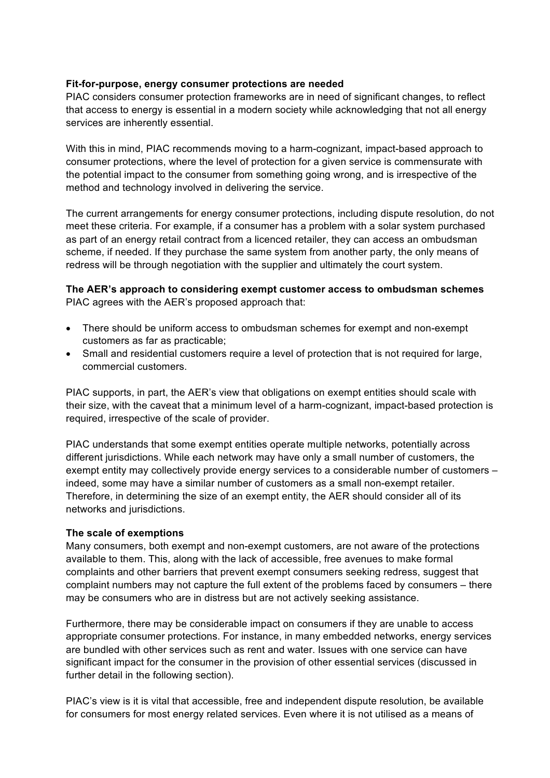## **Fit-for-purpose, energy consumer protections are needed**

PIAC considers consumer protection frameworks are in need of significant changes, to reflect that access to energy is essential in a modern society while acknowledging that not all energy services are inherently essential.

With this in mind, PIAC recommends moving to a harm-cognizant, impact-based approach to consumer protections, where the level of protection for a given service is commensurate with the potential impact to the consumer from something going wrong, and is irrespective of the method and technology involved in delivering the service.

The current arrangements for energy consumer protections, including dispute resolution, do not meet these criteria. For example, if a consumer has a problem with a solar system purchased as part of an energy retail contract from a licenced retailer, they can access an ombudsman scheme, if needed. If they purchase the same system from another party, the only means of redress will be through negotiation with the supplier and ultimately the court system.

## **The AER's approach to considering exempt customer access to ombudsman schemes** PIAC agrees with the AER's proposed approach that:

- There should be uniform access to ombudsman schemes for exempt and non-exempt customers as far as practicable;
- Small and residential customers require a level of protection that is not required for large, commercial customers.

PIAC supports, in part, the AER's view that obligations on exempt entities should scale with their size, with the caveat that a minimum level of a harm-cognizant, impact-based protection is required, irrespective of the scale of provider.

PIAC understands that some exempt entities operate multiple networks, potentially across different jurisdictions. While each network may have only a small number of customers, the exempt entity may collectively provide energy services to a considerable number of customers – indeed, some may have a similar number of customers as a small non-exempt retailer. Therefore, in determining the size of an exempt entity, the AER should consider all of its networks and jurisdictions.

## **The scale of exemptions**

Many consumers, both exempt and non-exempt customers, are not aware of the protections available to them. This, along with the lack of accessible, free avenues to make formal complaints and other barriers that prevent exempt consumers seeking redress, suggest that complaint numbers may not capture the full extent of the problems faced by consumers – there may be consumers who are in distress but are not actively seeking assistance.

Furthermore, there may be considerable impact on consumers if they are unable to access appropriate consumer protections. For instance, in many embedded networks, energy services are bundled with other services such as rent and water. Issues with one service can have significant impact for the consumer in the provision of other essential services (discussed in further detail in the following section).

PIAC's view is it is vital that accessible, free and independent dispute resolution, be available for consumers for most energy related services. Even where it is not utilised as a means of